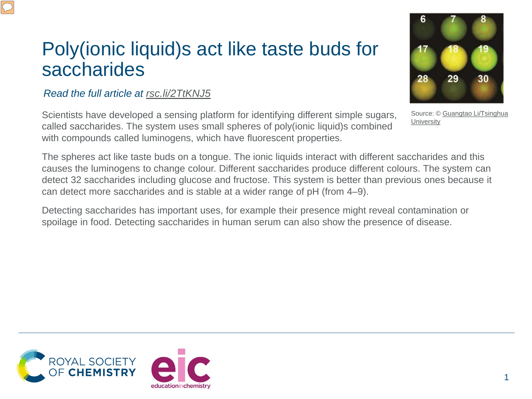## Poly(ionic liquid)s act like taste buds for saccharides

## *Read the full article at [rsc.li/2TtKNJ5](https://rsc.li/2TtKNJ5)*

Scientists have developed a sensing platform for identifying different simple sugars, called saccharides. The system uses small spheres of poly(ionic liquid)s combined with compounds called luminogens, which have fluorescent properties.

The spheres act like taste buds on a tongue. The ionic liquids interact with different saccharides and this causes the luminogens to change colour. Different saccharides produce different colours. The system can detect 32 saccharides including glucose and fructose. This system is better than previous ones because it can detect more saccharides and is stable at a wider range of pH (from 4–9).

Detecting saccharides has important uses, for example their presence might reveal contamination or spoilage in food. Detecting saccharides in human serum can also show the presence of disease.





[Source: © Guangtao](http://xlink.rsc.org/?doi=10.1039/c9sc02266j) Li/Tsinghua **University**